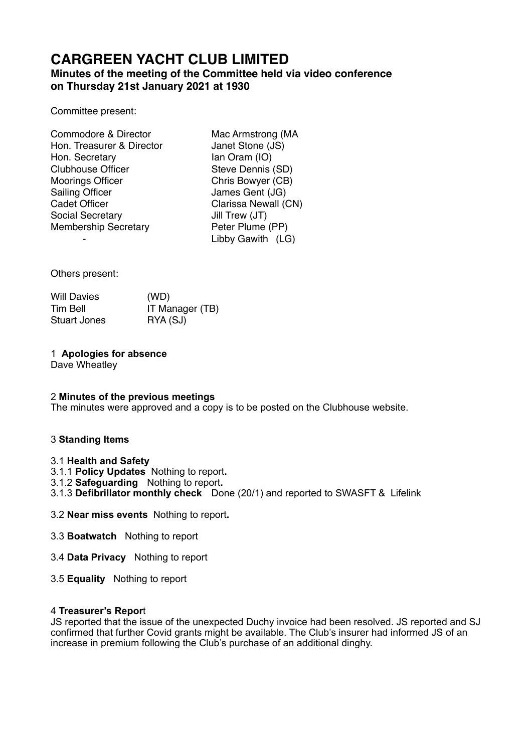# **CARGREEN YACHT CLUB LIMITED**

# **Minutes of the meeting of the Committee held via video conference on Thursday 21st January 2021 at 1930**

Committee present:

| Mac Armstrong (MA    |
|----------------------|
| Janet Stone (JS)     |
| lan Oram (IO)        |
| Steve Dennis (SD)    |
| Chris Bowyer (CB)    |
| James Gent (JG)      |
| Clarissa Newall (CN) |
| Jill Trew (JT)       |
| Peter Plume (PP)     |
| Libby Gawith (LG)    |
|                      |

Others present:

| <b>Will Davies</b> | (WD)            |
|--------------------|-----------------|
| Tim Bell           | IT Manager (TB) |
| Stuart Jones       | RYA (SJ)        |

# 1 **Apologies for absence**

Dave Wheatley

# 2 **Minutes of the previous meetings**

The minutes were approved and a copy is to be posted on the Clubhouse website.

# 3 **Standing Items**

# 3.1 **Health and Safety**

- 3.1.1 **Policy Updates** Nothing to report**.**
- 3.1.2 **Safeguarding** Nothing to report**.**
- 3.1.3 **Defibrillator monthly check** Done (20/1) and reported to SWASFT & Lifelink
- 3.2 **Near miss events** Nothing to report**.**
- 3.3 **Boatwatch** Nothing to report
- 3.4 **Data Privacy** Nothing to report
- 3.5 **Equality** Nothing to report

# 4 **Treasurer's Repor**t

JS reported that the issue of the unexpected Duchy invoice had been resolved. JS reported and SJ confirmed that further Covid grants might be available. The Club's insurer had informed JS of an increase in premium following the Club's purchase of an additional dinghy.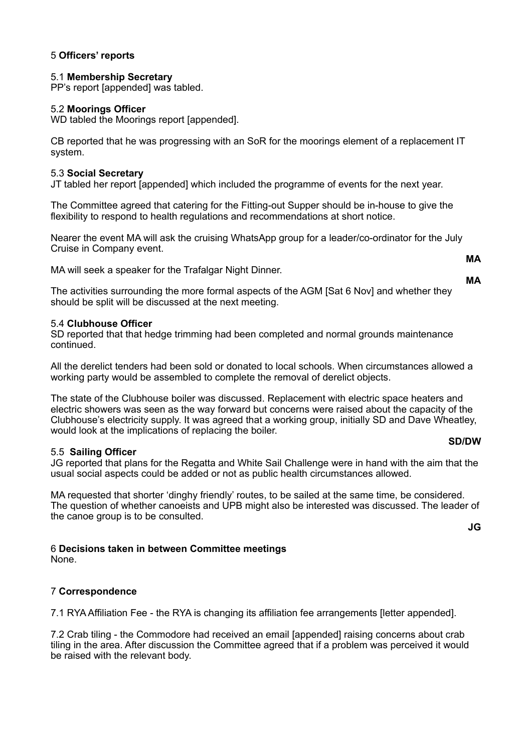# 5 **Officers' reports**

#### 5.1 **Membership Secretary**

PP's report [appended] was tabled.

#### 5.2 **Moorings Officer**

WD tabled the Moorings report [appended].

CB reported that he was progressing with an SoR for the moorings element of a replacement IT system.

#### 5.3 **Social Secretary**

JT tabled her report [appended] which included the programme of events for the next year.

The Committee agreed that catering for the Fitting-out Supper should be in-house to give the flexibility to respond to health regulations and recommendations at short notice.

Nearer the event MA will ask the cruising WhatsApp group for a leader/co-ordinator for the July Cruise in Company event.

MA will seek a speaker for the Trafalgar Night Dinner.

The activities surrounding the more formal aspects of the AGM [Sat 6 Nov] and whether they should be split will be discussed at the next meeting.

#### 5.4 **Clubhouse Officer**

SD reported that that hedge trimming had been completed and normal grounds maintenance continued.

All the derelict tenders had been sold or donated to local schools. When circumstances allowed a working party would be assembled to complete the removal of derelict objects.

The state of the Clubhouse boiler was discussed. Replacement with electric space heaters and electric showers was seen as the way forward but concerns were raised about the capacity of the Clubhouse's electricity supply. It was agreed that a working group, initially SD and Dave Wheatley, would look at the implications of replacing the boiler.

#### 5.5 **Sailing Officer**

**SD/DW** 

JG reported that plans for the Regatta and White Sail Challenge were in hand with the aim that the usual social aspects could be added or not as public health circumstances allowed.

MA requested that shorter 'dinghy friendly' routes, to be sailed at the same time, be considered. The question of whether canoeists and UPB might also be interested was discussed. The leader of the canoe group is to be consulted.

**JG** 

# 6 **Decisions taken in between Committee meetings**

None.

# 7 **Correspondence**

7.1 RYA Affiliation Fee - the RYA is changing its affiliation fee arrangements [letter appended].

7.2 Crab tiling - the Commodore had received an email [appended] raising concerns about crab tiling in the area. After discussion the Committee agreed that if a problem was perceived it would be raised with the relevant body.

**MA MA**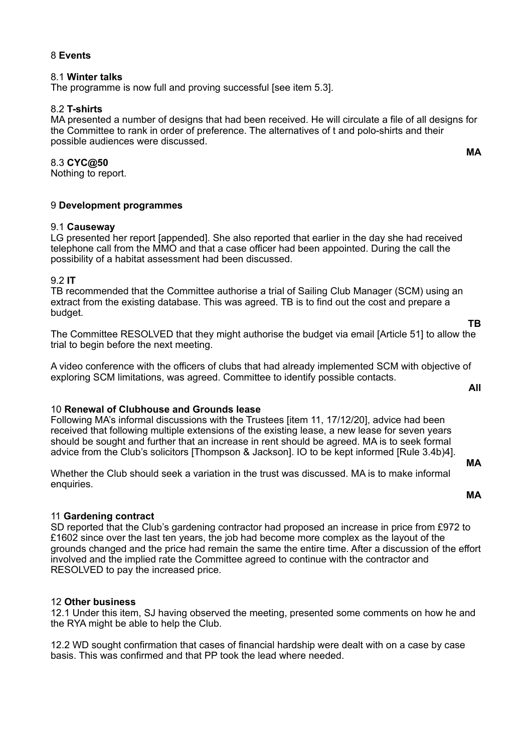#### 8 **Events**

#### 8.1 **Winter talks**

The programme is now full and proving successful [see item 5.3].

# 8.2 **T-shirts**

MA presented a number of designs that had been received. He will circulate a file of all designs for the Committee to rank in order of preference. The alternatives of t and polo-shirts and their possible audiences were discussed.

#### 8.3 **CYC@50**

Nothing to report.

#### 9 **Development programmes**

#### 9.1 **Causeway**

LG presented her report [appended]. She also reported that earlier in the day she had received telephone call from the MMO and that a case officer had been appointed. During the call the possibility of a habitat assessment had been discussed.

#### 9.2 **IT**

TB recommended that the Committee authorise a trial of Sailing Club Manager (SCM) using an extract from the existing database. This was agreed. TB is to find out the cost and prepare a budget.

The Committee RESOLVED that they might authorise the budget via email [Article 51] to allow the trial to begin before the next meeting.

A video conference with the officers of clubs that had already implemented SCM with objective of exploring SCM limitations, was agreed. Committee to identify possible contacts. **All** 

# 10 **Renewal of Clubhouse and Grounds lease**

Following MA's informal discussions with the Trustees [item 11, 17/12/20], advice had been received that following multiple extensions of the existing lease, a new lease for seven years should be sought and further that an increase in rent should be agreed. MA is to seek formal advice from the Club's solicitors [Thompson & Jackson]. IO to be kept informed [Rule 3.4b)4].

Whether the Club should seek a variation in the trust was discussed. MA is to make informal enquiries.

#### **MA**

**MA** 

# 11 **Gardening contract**

SD reported that the Club's gardening contractor had proposed an increase in price from £972 to £1602 since over the last ten years, the job had become more complex as the layout of the grounds changed and the price had remain the same the entire time. After a discussion of the effort involved and the implied rate the Committee agreed to continue with the contractor and RESOLVED to pay the increased price.

#### 12 **Other business**

12.1 Under this item, SJ having observed the meeting, presented some comments on how he and the RYA might be able to help the Club.

12.2 WD sought confirmation that cases of financial hardship were dealt with on a case by case basis. This was confirmed and that PP took the lead where needed.

**MA** 

**TB**